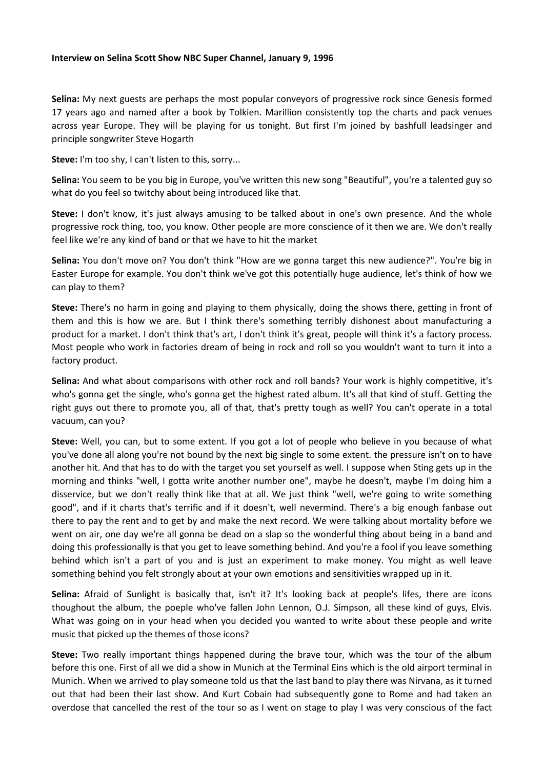## **Interview on Selina Scott Show NBC Super Channel, January 9, 1996**

**Selina:** My next guests are perhaps the most popular conveyors of progressive rock since Genesis formed 17 years ago and named after a book by Tolkien. Marillion consistently top the charts and pack venues across year Europe. They will be playing for us tonight. But first I'm joined by bashfull leadsinger and principle songwriter Steve Hogarth

**Steve:** I'm too shy, I can't listen to this, sorry...

**Selina:** You seem to be you big in Europe, you've written this new song "Beautiful", you're a talented guy so what do you feel so twitchy about being introduced like that.

**Steve:** I don't know, it's just always amusing to be talked about in one's own presence. And the whole progressive rock thing, too, you know. Other people are more conscience of it then we are. We don't really feel like we're any kind of band or that we have to hit the market

**Selina:** You don't move on? You don't think "How are we gonna target this new audience?". You're big in Easter Europe for example. You don't think we've got this potentially huge audience, let's think of how we can play to them?

**Steve:** There's no harm in going and playing to them physically, doing the shows there, getting in front of them and this is how we are. But I think there's something terribly dishonest about manufacturing a product for a market. I don't think that's art, I don't think it's great, people will think it's a factory process. Most people who work in factories dream of being in rock and roll so you wouldn't want to turn it into a factory product.

**Selina:** And what about comparisons with other rock and roll bands? Your work is highly competitive, it's who's gonna get the single, who's gonna get the highest rated album. It's all that kind of stuff. Getting the right guys out there to promote you, all of that, that's pretty tough as well? You can't operate in a total vacuum, can you?

**Steve:** Well, you can, but to some extent. If you got a lot of people who believe in you because of what you've done all along you're not bound by the next big single to some extent. the pressure isn't on to have another hit. And that has to do with the target you set yourself as well. I suppose when Sting gets up in the morning and thinks "well, I gotta write another number one", maybe he doesn't, maybe I'm doing him a disservice, but we don't really think like that at all. We just think "well, we're going to write something good", and if it charts that's terrific and if it doesn't, well nevermind. There's a big enough fanbase out there to pay the rent and to get by and make the next record. We were talking about mortality before we went on air, one day we're all gonna be dead on a slap so the wonderful thing about being in a band and doing this professionally is that you get to leave something behind. And you're a fool if you leave something behind which isn't a part of you and is just an experiment to make money. You might as well leave something behind you felt strongly about at your own emotions and sensitivities wrapped up in it.

**Selina:** Afraid of Sunlight is basically that, isn't it? It's looking back at people's lifes, there are icons thoughout the album, the poeple who've fallen John Lennon, O.J. Simpson, all these kind of guys, Elvis. What was going on in your head when you decided you wanted to write about these people and write music that picked up the themes of those icons?

**Steve:** Two really important things happened during the brave tour, which was the tour of the album before this one. First of all we did a show in Munich at the Terminal Eins which is the old airport terminal in Munich. When we arrived to play someone told us that the last band to play there was Nirvana, as it turned out that had been their last show. And Kurt Cobain had subsequently gone to Rome and had taken an overdose that cancelled the rest of the tour so as I went on stage to play I was very conscious of the fact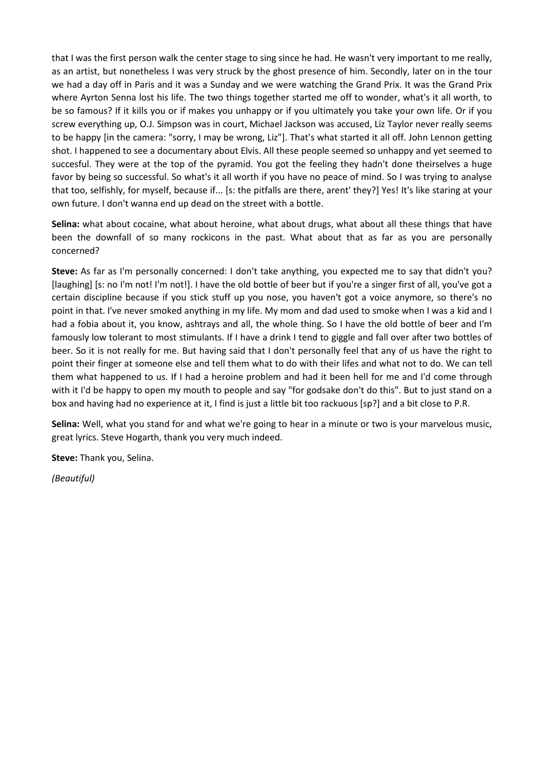that I was the first person walk the center stage to sing since he had. He wasn't very important to me really, as an artist, but nonetheless I was very struck by the ghost presence of him. Secondly, later on in the tour we had a day off in Paris and it was a Sunday and we were watching the Grand Prix. It was the Grand Prix where Ayrton Senna lost his life. The two things together started me off to wonder, what's it all worth, to be so famous? If it kills you or if makes you unhappy or if you ultimately you take your own life. Or if you screw everything up, O.J. Simpson was in court, Michael Jackson was accused, Liz Taylor never really seems to be happy [in the camera: "sorry, I may be wrong, Liz"]. That's what started it all off. John Lennon getting shot. I happened to see a documentary about Elvis. All these people seemed so unhappy and yet seemed to succesful. They were at the top of the pyramid. You got the feeling they hadn't done theirselves a huge favor by being so successful. So what's it all worth if you have no peace of mind. So I was trying to analyse that too, selfishly, for myself, because if... [s: the pitfalls are there, arent' they?] Yes! It's like staring at your own future. I don't wanna end up dead on the street with a bottle.

**Selina:** what about cocaine, what about heroine, what about drugs, what about all these things that have been the downfall of so many rockicons in the past. What about that as far as you are personally concerned?

**Steve:** As far as I'm personally concerned: I don't take anything, you expected me to say that didn't you? [laughing] [s: no I'm not! I'm not!]. I have the old bottle of beer but if you're a singer first of all, you've got a certain discipline because if you stick stuff up you nose, you haven't got a voice anymore, so there's no point in that. I've never smoked anything in my life. My mom and dad used to smoke when I was a kid and I had a fobia about it, you know, ashtrays and all, the whole thing. So I have the old bottle of beer and I'm famously low tolerant to most stimulants. If I have a drink I tend to giggle and fall over after two bottles of beer. So it is not really for me. But having said that I don't personally feel that any of us have the right to point their finger at someone else and tell them what to do with their lifes and what not to do. We can tell them what happened to us. If I had a heroine problem and had it been hell for me and I'd come through with it I'd be happy to open my mouth to people and say "for godsake don't do this". But to just stand on a box and having had no experience at it, I find is just a little bit too rackuous [sp?] and a bit close to P.R.

**Selina:** Well, what you stand for and what we're going to hear in a minute or two is your marvelous music, great lyrics. Steve Hogarth, thank you very much indeed.

**Steve:** Thank you, Selina.

*(Beautiful)*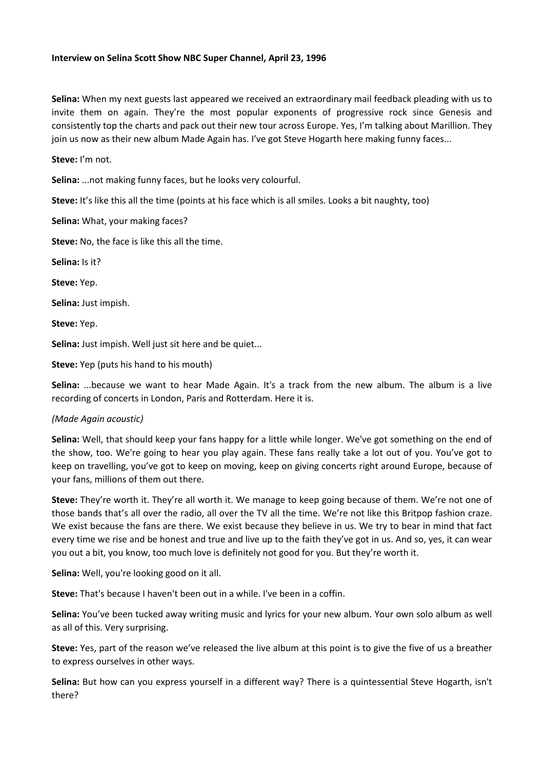## **Interview on Selina Scott Show NBC Super Channel, April 23, 1996**

**Selina:** When my next guests last appeared we received an extraordinary mail feedback pleading with us to invite them on again. They're the most popular exponents of progressive rock since Genesis and consistently top the charts and pack out their new tour across Europe. Yes, I'm talking about Marillion. They join us now as their new album Made Again has. I've got Steve Hogarth here making funny faces...

**Steve:** I'm not.

**Selina:** ...not making funny faces, but he looks very colourful.

**Steve:** It's like this all the time (points at his face which is all smiles. Looks a bit naughty, too)

**Selina:** What, your making faces?

**Steve:** No, the face is like this all the time.

**Selina:** Is it?

**Steve:** Yep.

**Selina:** Just impish.

**Steve:** Yep.

**Selina:** Just impish. Well just sit here and be quiet...

**Steve:** Yep (puts his hand to his mouth)

**Selina:** ...because we want to hear Made Again. It's a track from the new album. The album is a live recording of concerts in London, Paris and Rotterdam. Here it is.

## *(Made Again acoustic)*

**Selina:** Well, that should keep your fans happy for a little while longer. We've got something on the end of the show, too. We're going to hear you play again. These fans really take a lot out of you. You've got to keep on travelling, you've got to keep on moving, keep on giving concerts right around Europe, because of your fans, millions of them out there.

**Steve:** They're worth it. They're all worth it. We manage to keep going because of them. We're not one of those bands that's all over the radio, all over the TV all the time. We're not like this Britpop fashion craze. We exist because the fans are there. We exist because they believe in us. We try to bear in mind that fact every time we rise and be honest and true and live up to the faith they've got in us. And so, yes, it can wear you out a bit, you know, too much love is definitely not good for you. But they're worth it.

**Selina:** Well, you're looking good on it all.

**Steve:** That's because I haven't been out in a while. I've been in a coffin.

**Selina:** You've been tucked away writing music and lyrics for your new album. Your own solo album as well as all of this. Very surprising.

**Steve:** Yes, part of the reason we've released the live album at this point is to give the five of us a breather to express ourselves in other ways.

**Selina:** But how can you express yourself in a different way? There is a quintessential Steve Hogarth, isn't there?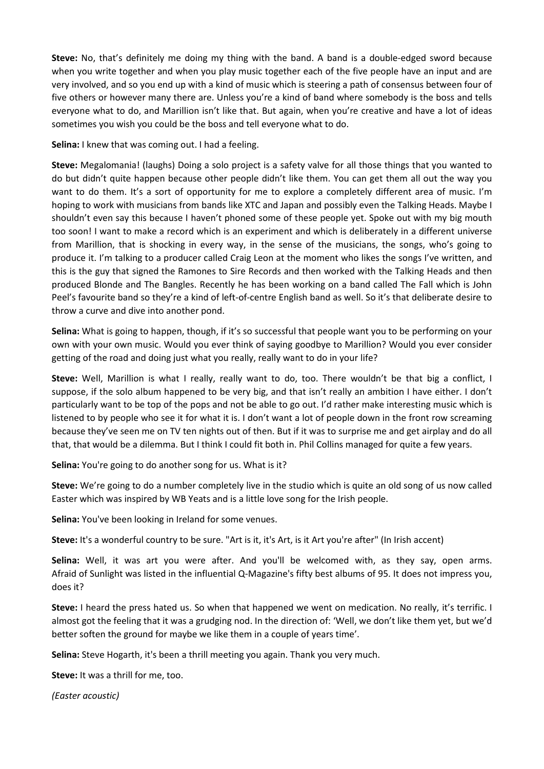**Steve:** No, that's definitely me doing my thing with the band. A band is a double-edged sword because when you write together and when you play music together each of the five people have an input and are very involved, and so you end up with a kind of music which is steering a path of consensus between four of five others or however many there are. Unless you're a kind of band where somebody is the boss and tells everyone what to do, and Marillion isn't like that. But again, when you're creative and have a lot of ideas sometimes you wish you could be the boss and tell everyone what to do.

**Selina:** I knew that was coming out. I had a feeling.

**Steve:** Megalomania! (laughs) Doing a solo project is a safety valve for all those things that you wanted to do but didn't quite happen because other people didn't like them. You can get them all out the way you want to do them. It's a sort of opportunity for me to explore a completely different area of music. I'm hoping to work with musicians from bands like XTC and Japan and possibly even the Talking Heads. Maybe I shouldn't even say this because I haven't phoned some of these people yet. Spoke out with my big mouth too soon! I want to make a record which is an experiment and which is deliberately in a different universe from Marillion, that is shocking in every way, in the sense of the musicians, the songs, who's going to produce it. I'm talking to a producer called Craig Leon at the moment who likes the songs I've written, and this is the guy that signed the Ramones to Sire Records and then worked with the Talking Heads and then produced Blonde and The Bangles. Recently he has been working on a band called The Fall which is John Peel's favourite band so they're a kind of left-of-centre English band as well. So it's that deliberate desire to throw a curve and dive into another pond.

**Selina:** What is going to happen, though, if it's so successful that people want you to be performing on your own with your own music. Would you ever think of saying goodbye to Marillion? Would you ever consider getting of the road and doing just what you really, really want to do in your life?

**Steve:** Well, Marillion is what I really, really want to do, too. There wouldn't be that big a conflict, I suppose, if the solo album happened to be very big, and that isn't really an ambition I have either. I don't particularly want to be top of the pops and not be able to go out. I'd rather make interesting music which is listened to by people who see it for what it is. I don't want a lot of people down in the front row screaming because they've seen me on TV ten nights out of then. But if it was to surprise me and get airplay and do all that, that would be a dilemma. But I think I could fit both in. Phil Collins managed for quite a few years.

**Selina:** You're going to do another song for us. What is it?

**Steve:** We're going to do a number completely live in the studio which is quite an old song of us now called Easter which was inspired by WB Yeats and is a little love song for the Irish people.

**Selina:** You've been looking in Ireland for some venues.

**Steve:** It's a wonderful country to be sure. "Art is it, it's Art, is it Art you're after" (In Irish accent)

**Selina:** Well, it was art you were after. And you'll be welcomed with, as they say, open arms. Afraid of Sunlight was listed in the influential Q-Magazine's fifty best albums of 95. It does not impress you, does it?

**Steve:** I heard the press hated us. So when that happened we went on medication. No really, it's terrific. I almost got the feeling that it was a grudging nod. In the direction of: 'Well, we don't like them yet, but we'd better soften the ground for maybe we like them in a couple of years time'.

**Selina:** Steve Hogarth, it's been a thrill meeting you again. Thank you very much.

**Steve:** It was a thrill for me, too.

*(Easter acoustic)*